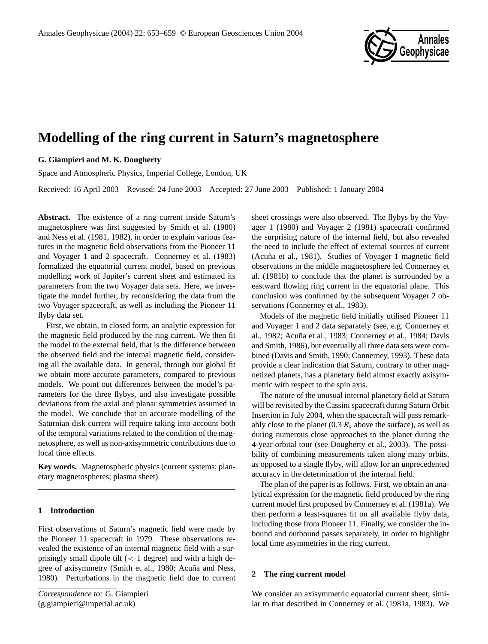

# **Modelling of the ring current in Saturn's magnetosphere**

## **G. Giampieri and M. K. Dougherty**

Space and Atmospheric Physics, Imperial College, London, UK

Received: 16 April 2003 – Revised: 24 June 2003 – Accepted: 27 June 2003 – Published: 1 January 2004

**Abstract.** The existence of a ring current inside Saturn's magnetosphere was first suggested by Smith et al. (1980) and Ness et al. (1981, 1982), in order to explain various features in the magnetic field observations from the Pioneer 11 and Voyager 1 and 2 spacecraft. Connerney et al. (1983) formalized the equatorial current model, based on previous modelling work of Jupiter's current sheet and estimated its parameters from the two Voyager data sets. Here, we investigate the model further, by reconsidering the data from the two Voyager spacecraft, as well as including the Pioneer 11 flyby data set.

First, we obtain, in closed form, an analytic expression for the magnetic field produced by the ring current. We then fit the model to the external field, that is the difference between the observed field and the internal magnetic field, considering all the available data. In general, through our global fit we obtain more accurate parameters, compared to previous models. We point out differences between the model's parameters for the three flybys, and also investigate possible deviations from the axial and planar symmetries assumed in the model. We conclude that an accurate modelling of the Saturnian disk current will require taking into account both of the temporal variations related to the condition of the magnetosphere, as well as non-axisymmetric contributions due to local time effects.

**Key words.** Magnetospheric physics (current systems; planetary magnetospheres; plasma sheet)

## **1 Introduction**

First observations of Saturn's magnetic field were made by the Pioneer 11 spacecraft in 1979. These observations revealed the existence of an internal magnetic field with a surprisingly small dipole tilt (< 1 degree) and with a high degree of axisymmetry (Smith et al., 1980; Acuña and Ness, 1980). Perturbations in the magnetic field due to current sheet crossings were also observed. The flybys by the Voyager 1 (1980) and Voyager 2 (1981) spacecraft confirmed the surprising nature of the internal field, but also revealed the need to include the effect of external sources of current (Acuña et al., 1981). Studies of Voyager 1 magnetic field observations in the middle magnetosphere led Connerney et al. (1981b) to conclude that the planet is surrounded by a eastward flowing ring current in the equatorial plane. This conclusion was confirmed by the subsequent Voyager 2 observations (Connerney et al., 1983).

Models of the magnetic field initially utilised Pioneer 11 and Voyager 1 and 2 data separately (see, e.g. Connerney et al., 1982; Acuña et al., 1983; Connerney et al., 1984; Davis and Smith, 1986), but eventually all three data sets were combined (Davis and Smith, 1990; Connerney, 1993). These data provide a clear indication that Saturn, contrary to other magnetized planets, has a planetary field almost exactly axisymmetric with respect to the spin axis.

The nature of the unusual internal planetary field at Saturn will be revisited by the Cassini spacecraft during Saturn Orbit Insertion in July 2004, when the spacecraft will pass remarkably close to the planet (0.3  $R_s$  above the surface), as well as during numerous close approaches to the planet during the 4-year orbital tour (see Dougherty et al., 2003). The possibility of combining measurements taken along many orbits, as opposed to a single flyby, will allow for an unprecedented accuracy in the determination of the internal field.

The plan of the paper is as follows. First, we obtain an analytical expression for the magnetic field produced by the ring current model first proposed by Connerney et al. (1981a). We then perform a least-squares fit on all available flyby data, including those from Pioneer 11. Finally, we consider the inbound and outbound passes separately, in order to highlight local time asymmetries in the ring current.

#### **2 The ring current model**

We consider an axisymmetric equatorial current sheet, similar to that described in Connerney et al. (1981a, 1983). We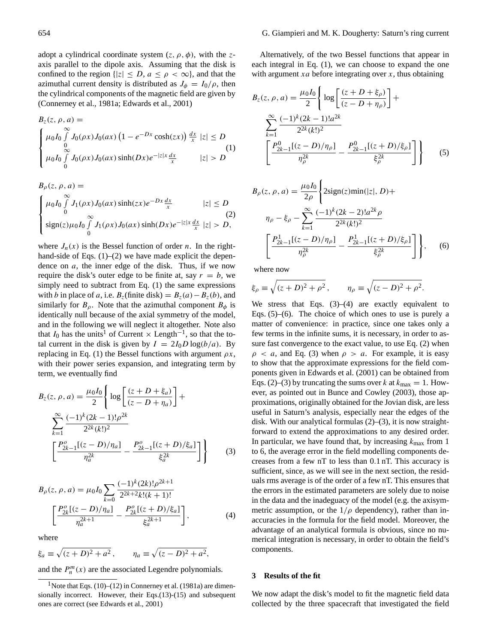adopt a cylindrical coordinate system  $(z, \rho, \phi)$ , with the zaxis parallel to the dipole axis. Assuming that the disk is confined to the region  $\{ |z| \leq D, a \leq \rho < \infty \}$ , and that the azimuthal current density is distributed as  $J_{\phi} = I_0/\rho$ , then the cylindrical components of the magnetic field are given by (Connerney et al., 1981a; Edwards et al., 2001)

$$
B_z(z, \rho, a) =
$$
  
\n
$$
\begin{cases}\n\mu_0 I_0 \int_0^\infty J_0(\rho x) J_0(ax) (1 - e^{-Dx} \cosh(zx)) \frac{dx}{x} |z| \le D \\
\int_0^\infty J_0(\rho x) J_0(ax) \sinh(Dx) e^{-|z|x} \frac{dx}{x} |z| > D\n\end{cases}
$$
(1)

$$
B_{\rho}(z, \rho, a) =
$$
  
\n
$$
\begin{cases}\n\mu_0 I_0 \int_0^{\infty} J_1(\rho x) J_0(\alpha x) \sinh(zx) e^{-Dx} \frac{dx}{x} & |z| \le D \\
\sin(z) \mu_0 I_0 \int_0^{\infty} J_1(\rho x) J_0(\alpha x) \sinh(Dx) e^{-|z|x} \frac{dx}{x} |z| > D,\n\end{cases}
$$
\n(2)

where  $J_n(x)$  is the Bessel function of order n. In the righthand-side of Eqs. (1)–(2) we have made explicit the dependence on  $a$ , the inner edge of the disk. Thus, if we now require the disk's outer edge to be finite at, say  $r = b$ , we simply need to subtract from Eq. (1) the same expressions with b in place of a, i.e.  $B_z$ (finite disk) =  $B_z(a) - B_z(b)$ , and similarly for  $B_\rho$ . Note that the azimuthal component  $B_\phi$  is identically null because of the axial symmetry of the model, and in the following we will neglect it altogether. Note also that  $I_0$  has the units<sup>1</sup> of Current × Length<sup>-1</sup>, so that the total current in the disk is given by  $I = 2I_0D\log(b/a)$ . By replacing in Eq. (1) the Bessel functions with argument  $\rho x$ , with their power series expansion, and integrating term by term, we eventually find

$$
B_{z}(z, \rho, a) = \frac{\mu_{0}I_{0}}{2} \left\{ \log \left[ \frac{(z + D + \xi_{a})}{(z - D + \eta_{a})} \right] + \frac{\sum_{k=1}^{\infty} \frac{(-1)^{k} (2k - 1)! \rho^{2k}}{2^{2k} (k!)^{2}}}{\sum_{n=1}^{\infty} \frac{P_{2k-1}^{o} [(z - D)/\eta_{a}]}{\eta_{a}^{2k}} - \frac{P_{2k-1}^{o} [(z + D)/\xi_{a}]}{\xi_{a}^{2k}} \right\}
$$
(3)

$$
B_{\rho}(z, \rho, a) = \mu_0 I_0 \sum_{k=0} \frac{(-1)^k (2k)! \rho^{2k+1}}{2^{2k+2} k! (k+1)!}
$$

$$
\left[ \frac{P_{2k}^o[(z-D)/\eta_a]}{\eta_a^{2k+1}} - \frac{P_{2k}^o[(z+D)/\xi_a]}{\xi_a^{2k+1}} \right],
$$
(4)

where

$$
\xi_a \equiv \sqrt{(z+D)^2 + a^2}, \qquad \eta_a \equiv \sqrt{(z-D)^2 + a^2},
$$

and the  $P_n^m(x)$  are the associated Legendre polynomials.

Alternatively, of the two Bessel functions that appear in each integral in Eq. (1), we can choose to expand the one with argument  $xa$  before integrating over  $x$ , thus obtaining

$$
B_z(z, \rho, a) = \frac{\mu_0 I_0}{2} \left\{ \log \left[ \frac{(z + D + \xi_\rho)}{(z - D + \eta_\rho)} \right] + \frac{\sum_{k=1}^{\infty} \frac{(-1)^k (2k - 1)! a^{2k}}{2^{2k} (k!)^2}}{\sum_{k=1}^{\infty} \frac{P_{2k-1}^0[(z - D)/\eta_\rho]}{\eta_\rho^{2k}} - \frac{P_{2k-1}^0[(z + D)/\xi_\rho]}{\xi_\rho^{2k}} \right\}
$$
(5)

$$
B_{\rho}(z, \rho, a) = \frac{\mu_0 I_0}{2\rho} \left\{ 2\text{sign}(z) \text{min}(|z|, D) +
$$
  
\n
$$
\eta_{\rho} - \xi_{\rho} - \sum_{k=1}^{\infty} \frac{(-1)^k (2k - 2)! a^{2k} \rho}{2^{2k} (k!)^2} \right\}
$$
  
\n
$$
\left[ \frac{P_{2k-1}^1[(z - D)/\eta_{\rho}]}{\eta_{\rho}^{2k}} - \frac{P_{2k-1}^1[(z + D)/\xi_{\rho}]}{\xi_{\rho}^{2k}} \right], \quad (6)
$$

where now

$$
\xi_{\rho} \equiv \sqrt{(z+D)^2 + \rho^2}, \qquad \eta_{\rho} \equiv \sqrt{(z-D)^2 + \rho^2}.
$$

We stress that Eqs.  $(3)$ – $(4)$  are exactly equivalent to Eqs.  $(5)$ – $(6)$ . The choice of which ones to use is purely a matter of convenience: in practice, since one takes only a few terms in the infinite sums, it is necessary, in order to assure fast convergence to the exact value, to use Eq. (2) when  $\rho \langle a, \rho \rangle$  and Eq. (3) when  $\rho \rangle$  a. For example, it is easy to show that the approximate expressions for the field components given in Edwards et al. (2001) can be obtained from Eqs. (2)–(3) by truncating the sums over k at  $k_{\text{max}} = 1$ . However, as pointed out in Bunce and Cowley (2003), those approximations, originally obtained for the Jovian disk, are less useful in Saturn's analysis, especially near the edges of the disk. With our analytical formulas (2)–(3), it is now straightforward to extend the approximations to any desired order. In particular, we have found that, by increasing  $k_{\text{max}}$  from 1 to 6, the average error in the field modelling components decreases from a few nT to less than 0.1 nT. This accuracy is sufficient, since, as we will see in the next section, the residuals rms average is of the order of a few nT. This ensures that the errors in the estimated parameters are solely due to noise in the data and the inadeguacy of the model (e.g. the axisymmetric assumption, or the  $1/\rho$  dependency), rather than inaccuracies in the formula for the field model. Moreover, the advantage of an analytical formula is obvious, since no numerical integration is necessary, in order to obtain the field's components.

### **3 Results of the fit**

We now adapt the disk's model to fit the magnetic field data collected by the three spacecraft that investigated the field

<sup>&</sup>lt;sup>1</sup> Note that Eqs.  $(10)$ – $(12)$  in Connerney et al.  $(1981a)$  are dimensionally incorrect. However, their Eqs.(13)-(15) and subsequent ones are correct (see Edwards et al., 2001)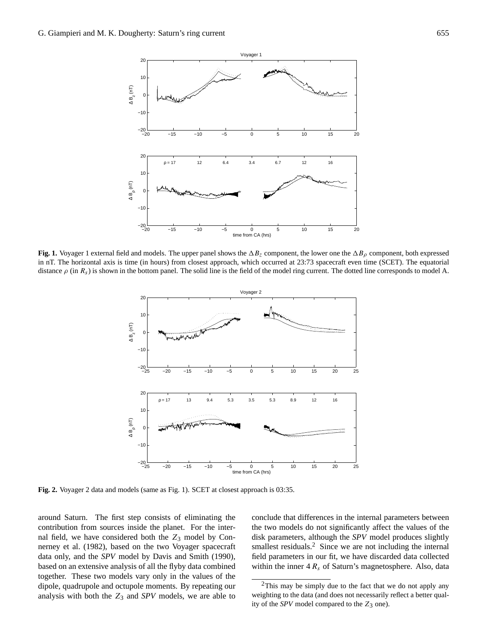

**Fig. 1.** Voyager 1 external field and models. The upper panel shows the  $\Delta B_z$  component, the lower one the  $\Delta B_\rho$  component, both expressed in nT. The horizontal axis is time (in hours) from closest approach, which occurred at 23:73 spacecraft even time (SCET). The equatorial distance  $\rho$  (in  $R_s$ ) is shown in the bottom panel. The solid line is the field of the model ring current. The dotted line corresponds to model A.



**Fig. 2.** Voyager 2 data and models (same as Fig. 1). SCET at closest approach is 03:35.

around Saturn. The first step consists of eliminating the contribution from sources inside the planet. For the internal field, we have considered both the  $Z_3$  model by Connerney et al. (1982), based on the two Voyager spacecraft data only, and the *SPV* model by Davis and Smith (1990), based on an extensive analysis of all the flyby data combined together. These two models vary only in the values of the dipole, quadrupole and octupole moments. By repeating our analysis with both the  $Z_3$  and *SPV* models, we are able to conclude that differences in the internal parameters between the two models do not significantly affect the values of the disk parameters, although the *SPV* model produces slightly smallest residuals.<sup>2</sup> Since we are not including the internal field parameters in our fit, we have discarded data collected within the inner  $4 R_s$  of Saturn's magnetosphere. Also, data

<sup>&</sup>lt;sup>2</sup>This may be simply due to the fact that we do not apply any weighting to the data (and does not necessarily reflect a better quality of the  $SPV$  model compared to the  $Z_3$  one).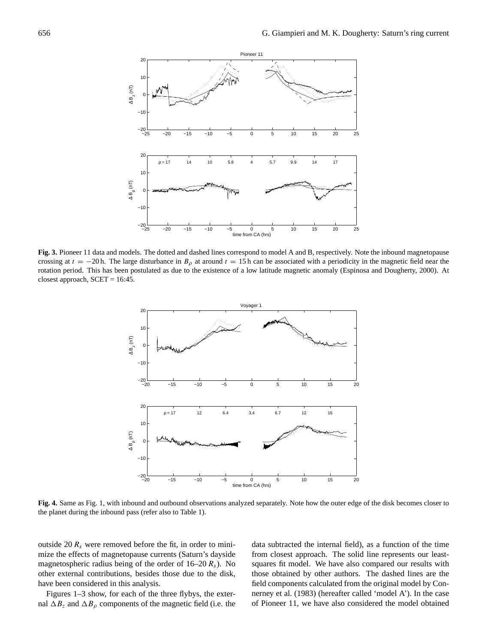

**Fig. 3.** Pioneer 11 data and models. The dotted and dashed lines correspond to model A and B, respectively. Note the inbound magnetopause crossing at  $t = -20$  h. The large disturbance in  $B_\rho$  at around  $t = 15$  h can be associated with a periodicity in the magnetic field near the rotation period. This has been postulated as due to the existence of a low latitude magnetic anomaly (Espinosa and Dougherty, 2000). At closest approach,  $SCET = 16:45$ .



**Fig. 4.** Same as Fig. 1, with inbound and outbound observations analyzed separately. Note how the outer edge of the disk becomes closer to the planet during the inbound pass (refer also to Table 1).

outside 20  $R_s$  were removed before the fit, in order to minimize the effects of magnetopause currents (Saturn's dayside magnetospheric radius being of the order of  $16-20 R<sub>s</sub>$ ). No other external contributions, besides those due to the disk, have been considered in this analysis.

Figures 1–3 show, for each of the three flybys, the external  $\Delta B_z$  and  $\Delta B_\rho$  components of the magnetic field (i.e. the

data subtracted the internal field), as a function of the time from closest approach. The solid line represents our leastsquares fit model. We have also compared our results with those obtained by other authors. The dashed lines are the field components calculated from the original model by Connerney et al. (1983) (hereafter called 'model A'). In the case of Pioneer 11, we have also considered the model obtained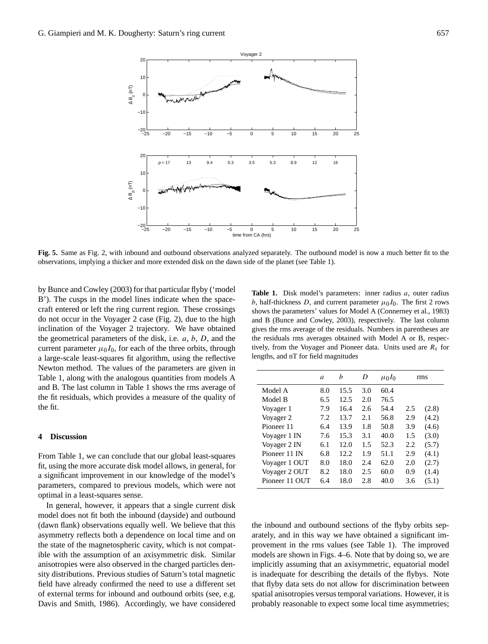

**Fig. 5.** Same as Fig. 2, with inbound and outbound observations analyzed separately. The outbound model is now a much better fit to the observations, implying a thicker and more extended disk on the dawn side of the planet (see Table 1).

by Bunce and Cowley (2003) for that particular flyby ('model B'). The cusps in the model lines indicate when the spacecraft entered or left the ring current region. These crossings do not occur in the Voyager 2 case (Fig. 2), due to the high inclination of the Voyager 2 trajectory. We have obtained the geometrical parameters of the disk, i.e.  $a, b, D$ , and the current parameter  $\mu_0 I_0$ , for each of the three orbits, through a large-scale least-squares fit algorithm, using the reflective Newton method. The values of the parameters are given in Table 1, along with the analogous quantities from models A and B. The last column in Table 1 shows the rms average of the fit residuals, which provides a measure of the quality of the fit.

## **4 Discussion**

From Table 1, we can conclude that our global least-squares fit, using the more accurate disk model allows, in general, for a significant improvement in our knowledge of the model's parameters, compared to previous models, which were not optimal in a least-squares sense.

In general, however, it appears that a single current disk model does not fit both the inbound (dayside) and outbound (dawn flank) observations equally well. We believe that this asymmetry reflects both a dependence on local time and on the state of the magnetospheric cavity, which is not compatible with the assumption of an axisymmetric disk. Similar anisotropies were also observed in the charged particles density distributions. Previous studies of Saturn's total magnetic field have already confirmed the need to use a different set of external terms for inbound and outbound orbits (see, e.g. Davis and Smith, 1986). Accordingly, we have considered

**Table 1.** Disk model's parameters: inner radius a, outer radius b, half-thickness D, and current parameter  $\mu_0 I_0$ . The first 2 rows shows the parameters' values for Model A (Connerney et al., 1983) and B (Bunce and Cowley, 2003), respectively. The last column gives the rms average of the residuals. Numbers in parentheses are the residuals rms averages obtained with Model A or B, respectively, from the Voyager and Pioneer data. Units used are  $R<sub>s</sub>$  for lengths, and nT for field magnitudes

|                | a   | h     | D   | $\mu_0 I_0$ | rms |       |
|----------------|-----|-------|-----|-------------|-----|-------|
| Model A        | 8.0 | 15.5  | 3.0 | 60.4        |     |       |
| Model B        | 6.5 | 12.5  | 2.0 | 76.5        |     |       |
| Voyager 1      | 7.9 | 16.4  | 2.6 | 54.4        | 2.5 | (2.8) |
| Voyager 2      | 7.2 | 13.7  | 2.1 | 56.8        | 2.9 | (4.2) |
| Pioneer 11     | 6.4 | 13.9  | 1.8 | 50.8        | 3.9 | (4.6) |
| Voyager 1 IN   | 7.6 | 15.3  | 3.1 | 40.0        | 1.5 | (3.0) |
| Voyager 2 IN   | 6.1 | 12.0  | 1.5 | 52.3        | 2.2 | (5.7) |
| Pioneer 11 IN  | 6.8 | 12.2. | 1.9 | 51.1        | 2.9 | (4.1) |
| Voyager 1 OUT  | 8.0 | 18.0  | 2.4 | 62.0        | 2.0 | (2.7) |
| Voyager 2 OUT  | 8.2 | 18.0  | 2.5 | 60.0        | 0.9 | (1.4) |
| Pioneer 11 OUT | 6.4 | 18.0  | 2.8 | 40.0        | 3.6 | (5.1) |

the inbound and outbound sections of the flyby orbits separately, and in this way we have obtained a significant improvement in the rms values (see Table 1). The improved models are shown in Figs. 4–6. Note that by doing so, we are implicitly assuming that an axisymmetric, equatorial model is inadequate for describing the details of the flybys. Note that flyby data sets do not allow for discrimination between spatial anisotropies versus temporal variations. However, it is probably reasonable to expect some local time asymmetries;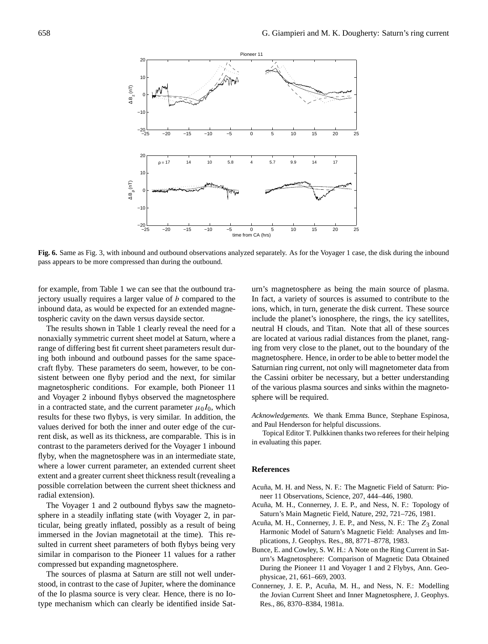

**Fig. 6.** Same as Fig. 3, with inbound and outbound observations analyzed separately. As for the Voyager 1 case, the disk during the inbound pass appears to be more compressed than during the outbound.

for example, from Table 1 we can see that the outbound trajectory usually requires a larger value of  $b$  compared to the inbound data, as would be expected for an extended magnetospheric cavity on the dawn versus dayside sector.

The results shown in Table 1 clearly reveal the need for a nonaxially symmetric current sheet model at Saturn, where a range of differing best fit current sheet parameters result during both inbound and outbound passes for the same spacecraft flyby. These parameters do seem, however, to be consistent between one flyby period and the next, for similar magnetospheric conditions. For example, both Pioneer 11 and Voyager 2 inbound flybys observed the magnetosphere in a contracted state, and the current parameter  $\mu_0I_0$ , which results for these two flybys, is very similar. In addition, the values derived for both the inner and outer edge of the current disk, as well as its thickness, are comparable. This is in contrast to the parameters derived for the Voyager 1 inbound flyby, when the magnetosphere was in an intermediate state, where a lower current parameter, an extended current sheet extent and a greater current sheet thickness result (revealing a possible correlation between the current sheet thickness and radial extension).

The Voyager 1 and 2 outbound flybys saw the magnetosphere in a steadily inflating state (with Voyager 2, in particular, being greatly inflated, possibly as a result of being immersed in the Jovian magnetotail at the time). This resulted in current sheet parameters of both flybys being very similar in comparison to the Pioneer 11 values for a rather compressed but expanding magnetosphere.

The sources of plasma at Saturn are still not well understood, in contrast to the case of Jupiter, where the dominance of the Io plasma source is very clear. Hence, there is no Iotype mechanism which can clearly be identified inside Saturn's magnetosphere as being the main source of plasma. In fact, a variety of sources is assumed to contribute to the ions, which, in turn, generate the disk current. These source include the planet's ionosphere, the rings, the icy satellites, neutral H clouds, and Titan. Note that all of these sources are located at various radial distances from the planet, ranging from very close to the planet, out to the boundary of the magnetosphere. Hence, in order to be able to better model the Saturnian ring current, not only will magnetometer data from the Cassini orbiter be necessary, but a better understanding of the various plasma sources and sinks within the magnetosphere will be required.

*Acknowledgements.* We thank Emma Bunce, Stephane Espinosa, and Paul Henderson for helpful discussions.

Topical Editor T. Pulkkinen thanks two referees for their helping in evaluating this paper.

#### **References**

- Acuña, M. H. and Ness, N. F.: The Magnetic Field of Saturn: Pioneer 11 Observations, Science, 207, 444–446, 1980.
- Acuña, M. H., Connerney, J. E. P., and Ness, N. F.: Topology of Saturn's Main Magnetic Field, Nature, 292, 721–726, 1981.
- Acuña, M. H., Connerney, J. E. P., and Ness, N. F.: The  $Z_3$  Zonal Harmonic Model of Saturn's Magnetic Field: Analyses and Implications, J. Geophys. Res., 88, 8771–8778, 1983.
- Bunce, E. and Cowley, S. W. H.: A Note on the Ring Current in Saturn's Magnetosphere: Comparison of Magnetic Data Obtained During the Pioneer 11 and Voyager 1 and 2 Flybys, Ann. Geophysicae, 21, 661–669, 2003.
- Connerney, J. E. P., Acuña, M. H., and Ness, N. F.: Modelling the Jovian Current Sheet and Inner Magnetosphere, J. Geophys. Res., 86, 8370–8384, 1981a.